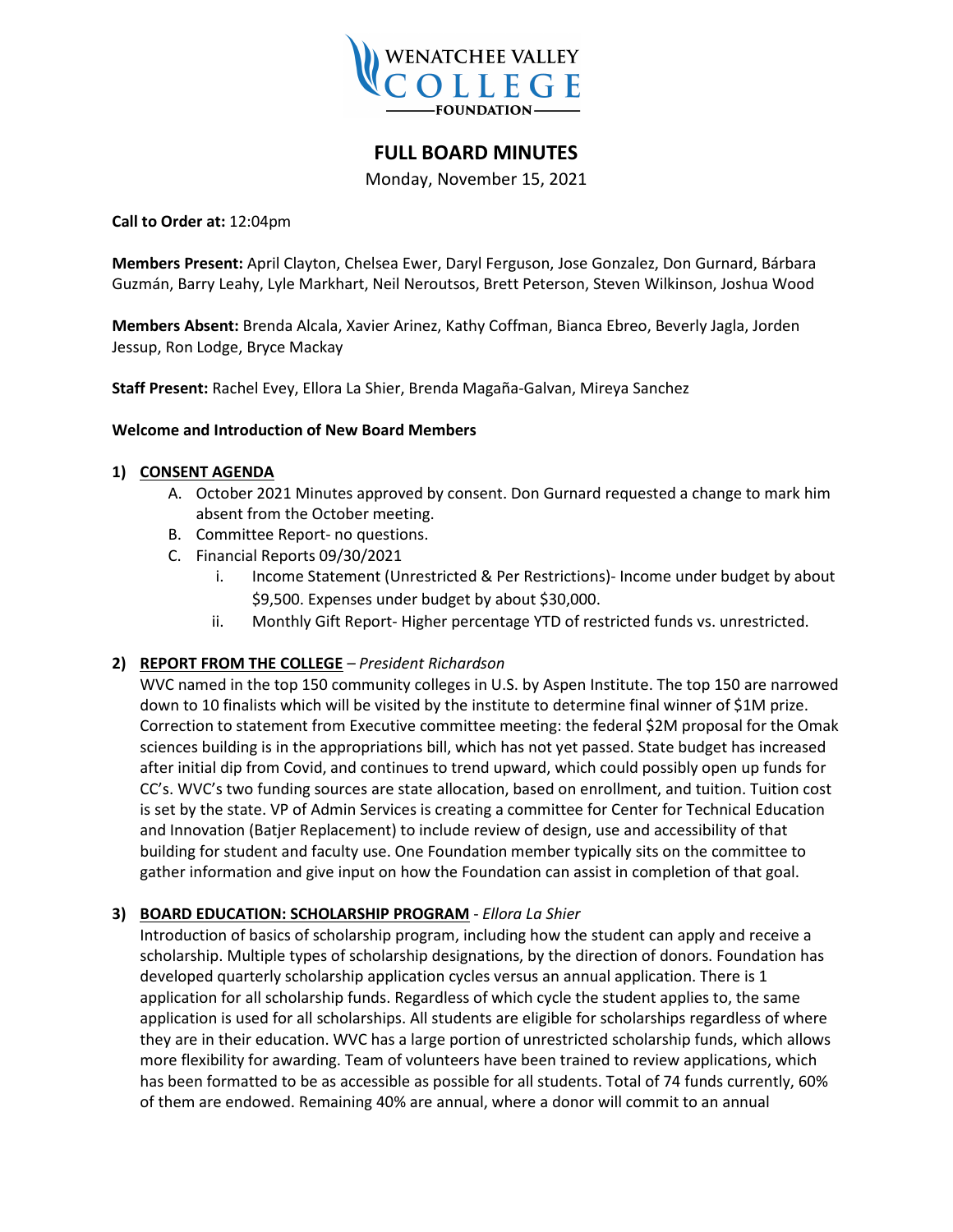

# **FULL BOARD MINUTES**

Monday, November 15, 2021

**Call to Order at:** 12:04pm

**Members Present:** April Clayton, Chelsea Ewer, Daryl Ferguson, Jose Gonzalez, Don Gurnard, Bárbara Guzmán, Barry Leahy, Lyle Markhart, Neil Neroutsos, Brett Peterson, Steven Wilkinson, Joshua Wood

**Members Absent:** Brenda Alcala, Xavier Arinez, Kathy Coffman, Bianca Ebreo, Beverly Jagla, Jorden Jessup, Ron Lodge, Bryce Mackay

**Staff Present:** Rachel Evey, Ellora La Shier, Brenda Magaña-Galvan, Mireya Sanchez

#### **Welcome and Introduction of New Board Members**

### **1) CONSENT AGENDA**

- A. October 2021 Minutes approved by consent. Don Gurnard requested a change to mark him absent from the October meeting.
- B. Committee Report- no questions.
- C. Financial Reports 09/30/2021
	- i. Income Statement (Unrestricted & Per Restrictions)- Income under budget by about \$9,500. Expenses under budget by about \$30,000.
	- ii. Monthly Gift Report- Higher percentage YTD of restricted funds vs. unrestricted.

# **2) REPORT FROM THE COLLEGE** *– President Richardson*

WVC named in the top 150 community colleges in U.S. by Aspen Institute. The top 150 are narrowed down to 10 finalists which will be visited by the institute to determine final winner of \$1M prize. Correction to statement from Executive committee meeting: the federal \$2M proposal for the Omak sciences building is in the appropriations bill, which has not yet passed. State budget has increased after initial dip from Covid, and continues to trend upward, which could possibly open up funds for CC's. WVC's two funding sources are state allocation, based on enrollment, and tuition. Tuition cost is set by the state. VP of Admin Services is creating a committee for Center for Technical Education and Innovation (Batjer Replacement) to include review of design, use and accessibility of that building for student and faculty use. One Foundation member typically sits on the committee to gather information and give input on how the Foundation can assist in completion of that goal.

# **3) BOARD EDUCATION: SCHOLARSHIP PROGRAM** - *Ellora La Shier*

Introduction of basics of scholarship program, including how the student can apply and receive a scholarship. Multiple types of scholarship designations, by the direction of donors. Foundation has developed quarterly scholarship application cycles versus an annual application. There is 1 application for all scholarship funds. Regardless of which cycle the student applies to, the same application is used for all scholarships. All students are eligible for scholarships regardless of where they are in their education. WVC has a large portion of unrestricted scholarship funds, which allows more flexibility for awarding. Team of volunteers have been trained to review applications, which has been formatted to be as accessible as possible for all students. Total of 74 funds currently, 60% of them are endowed. Remaining 40% are annual, where a donor will commit to an annual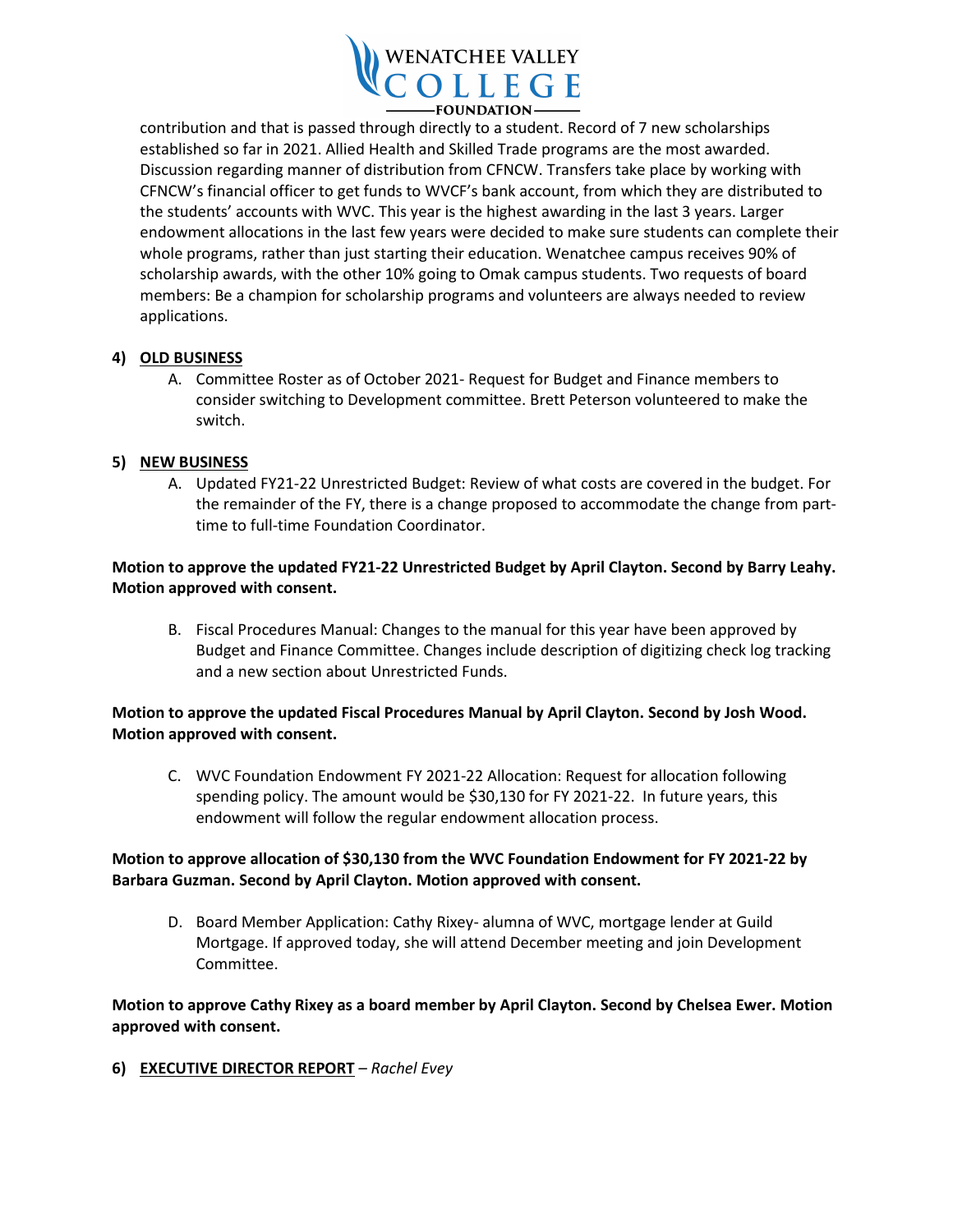

contribution and that is passed through directly to a student. Record of 7 new scholarships established so far in 2021. Allied Health and Skilled Trade programs are the most awarded. Discussion regarding manner of distribution from CFNCW. Transfers take place by working with CFNCW's financial officer to get funds to WVCF's bank account, from which they are distributed to the students' accounts with WVC. This year is the highest awarding in the last 3 years. Larger endowment allocations in the last few years were decided to make sure students can complete their whole programs, rather than just starting their education. Wenatchee campus receives 90% of scholarship awards, with the other 10% going to Omak campus students. Two requests of board members: Be a champion for scholarship programs and volunteers are always needed to review applications.

### **4) OLD BUSINESS**

A. Committee Roster as of October 2021- Request for Budget and Finance members to consider switching to Development committee. Brett Peterson volunteered to make the switch.

### **5) NEW BUSINESS**

A. Updated FY21-22 Unrestricted Budget: Review of what costs are covered in the budget. For the remainder of the FY, there is a change proposed to accommodate the change from parttime to full-time Foundation Coordinator.

## **Motion to approve the updated FY21-22 Unrestricted Budget by April Clayton. Second by Barry Leahy. Motion approved with consent.**

B. Fiscal Procedures Manual: Changes to the manual for this year have been approved by Budget and Finance Committee. Changes include description of digitizing check log tracking and a new section about Unrestricted Funds.

### **Motion to approve the updated Fiscal Procedures Manual by April Clayton. Second by Josh Wood. Motion approved with consent.**

C. WVC Foundation Endowment FY 2021-22 Allocation: Request for allocation following spending policy. The amount would be \$30,130 for FY 2021-22. In future years, this endowment will follow the regular endowment allocation process.

### **Motion to approve allocation of \$30,130 from the WVC Foundation Endowment for FY 2021-22 by Barbara Guzman. Second by April Clayton. Motion approved with consent.**

D. Board Member Application: Cathy Rixey- alumna of WVC, mortgage lender at Guild Mortgage. If approved today, she will attend December meeting and join Development Committee.

# **Motion to approve Cathy Rixey as a board member by April Clayton. Second by Chelsea Ewer. Motion approved with consent.**

**6) EXECUTIVE DIRECTOR REPORT** *– Rachel Evey*